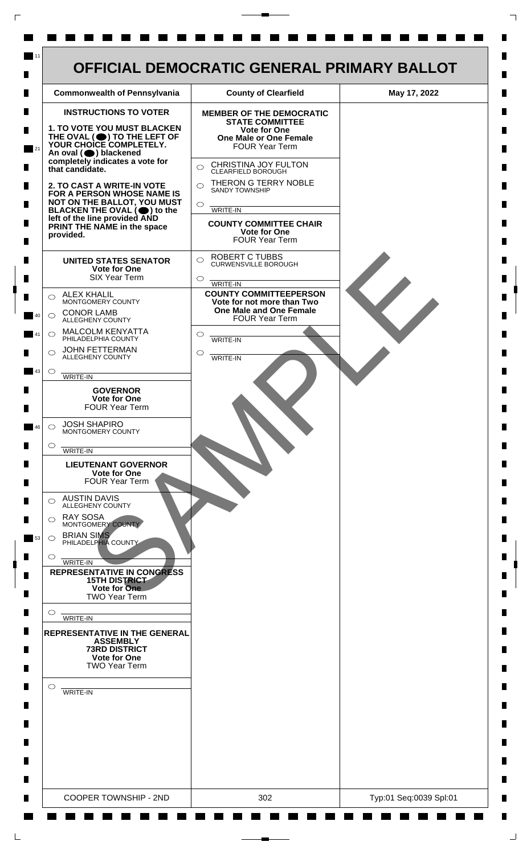

 $\mathsf{L}$